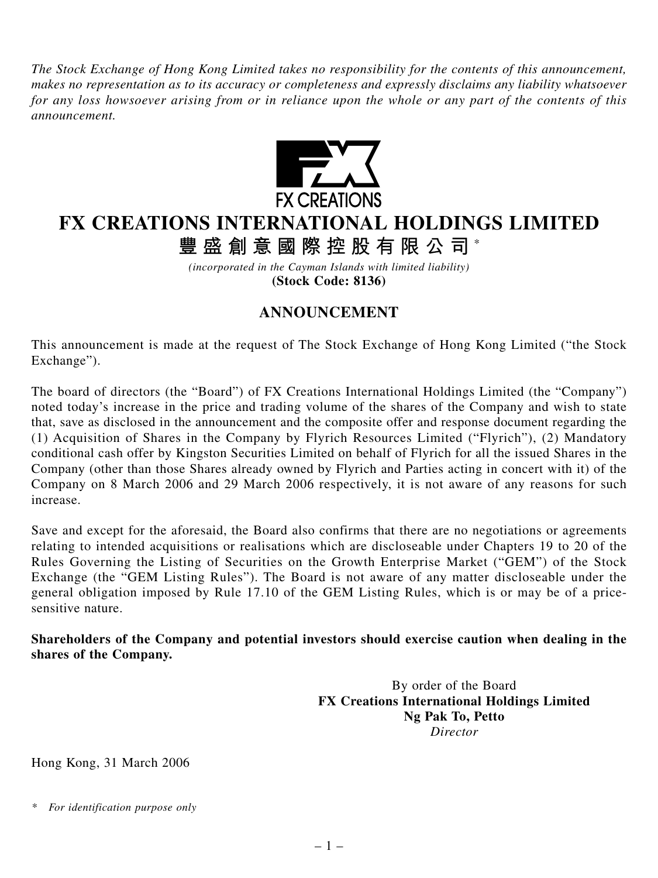*The Stock Exchange of Hong Kong Limited takes no responsibility for the contents of this announcement, makes no representation as to its accuracy or completeness and expressly disclaims any liability whatsoever for any loss howsoever arising from or in reliance upon the whole or any part of the contents of this announcement.*



## **FX CREATIONS INTERNATIONAL HOLDINGS LIMITED**

**豐盛創意國際控股有限公司** \*

*(incorporated in the Cayman Islands with limited liability)* **(Stock Code: 8136)**

## **ANNOUNCEMENT**

This announcement is made at the request of The Stock Exchange of Hong Kong Limited ("the Stock Exchange").

The board of directors (the "Board") of FX Creations International Holdings Limited (the "Company") noted today's increase in the price and trading volume of the shares of the Company and wish to state that, save as disclosed in the announcement and the composite offer and response document regarding the (1) Acquisition of Shares in the Company by Flyrich Resources Limited ("Flyrich"), (2) Mandatory conditional cash offer by Kingston Securities Limited on behalf of Flyrich for all the issued Shares in the Company (other than those Shares already owned by Flyrich and Parties acting in concert with it) of the Company on 8 March 2006 and 29 March 2006 respectively, it is not aware of any reasons for such increase.

Save and except for the aforesaid, the Board also confirms that there are no negotiations or agreements relating to intended acquisitions or realisations which are discloseable under Chapters 19 to 20 of the Rules Governing the Listing of Securities on the Growth Enterprise Market ("GEM") of the Stock Exchange (the "GEM Listing Rules"). The Board is not aware of any matter discloseable under the general obligation imposed by Rule 17.10 of the GEM Listing Rules, which is or may be of a pricesensitive nature.

**Shareholders of the Company and potential investors should exercise caution when dealing in the shares of the Company.**

> By order of the Board **FX Creations International Holdings Limited Ng Pak To, Petto** *Director*

Hong Kong, 31 March 2006

*<sup>\*</sup> For identification purpose only*